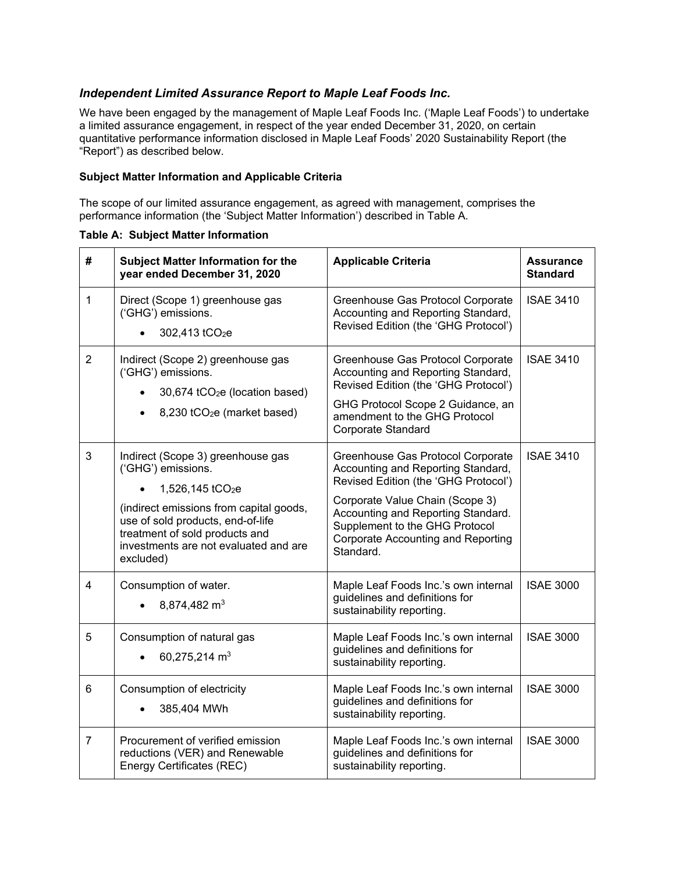# *Independent Limited Assurance Report to Maple Leaf Foods Inc.*

 We have been engaged by the management of Maple Leaf Foods Inc. ('Maple Leaf Foods') to undertake a limited assurance engagement, in respect of the year ended December 31, 2020, on certain quantitative performance information disclosed in Maple Leaf Foods' 2020 Sustainability Report (the "Report") as described below.

## **Subject Matter Information and Applicable Criteria**

 The scope of our limited assurance engagement, as agreed with management, comprises the performance information (the 'Subject Matter Information') described in Table A.

|  |  |  | <b>Table A: Subject Matter Information</b> |
|--|--|--|--------------------------------------------|
|--|--|--|--------------------------------------------|

| #              | <b>Subject Matter Information for the</b><br>year ended December 31, 2020                                                                                                                                                                                       | <b>Applicable Criteria</b>                                                                                                                                                                                                                                                           | <b>Assurance</b><br><b>Standard</b> |
|----------------|-----------------------------------------------------------------------------------------------------------------------------------------------------------------------------------------------------------------------------------------------------------------|--------------------------------------------------------------------------------------------------------------------------------------------------------------------------------------------------------------------------------------------------------------------------------------|-------------------------------------|
| $\mathbf{1}$   | Direct (Scope 1) greenhouse gas<br>('GHG') emissions.<br>302,413 tCO <sub>2</sub> e                                                                                                                                                                             | Greenhouse Gas Protocol Corporate<br>Accounting and Reporting Standard,<br>Revised Edition (the 'GHG Protocol')                                                                                                                                                                      | <b>ISAE 3410</b>                    |
| $\overline{2}$ | Indirect (Scope 2) greenhouse gas<br>('GHG') emissions.<br>30,674 tCO <sub>2</sub> e (location based)<br>8,230 tCO <sub>2</sub> e (market based)                                                                                                                | Greenhouse Gas Protocol Corporate<br>Accounting and Reporting Standard,<br>Revised Edition (the 'GHG Protocol')<br>GHG Protocol Scope 2 Guidance, an<br>amendment to the GHG Protocol<br>Corporate Standard                                                                          | <b>ISAE 3410</b>                    |
| 3              | Indirect (Scope 3) greenhouse gas<br>('GHG') emissions.<br>1,526,145 tCO <sub>2</sub> e<br>(indirect emissions from capital goods,<br>use of sold products, end-of-life<br>treatment of sold products and<br>investments are not evaluated and are<br>excluded) | Greenhouse Gas Protocol Corporate<br>Accounting and Reporting Standard,<br>Revised Edition (the 'GHG Protocol')<br>Corporate Value Chain (Scope 3)<br>Accounting and Reporting Standard.<br>Supplement to the GHG Protocol<br><b>Corporate Accounting and Reporting</b><br>Standard. | <b>ISAE 3410</b>                    |
| 4              | Consumption of water.<br>8,874,482 m <sup>3</sup>                                                                                                                                                                                                               | Maple Leaf Foods Inc.'s own internal<br>guidelines and definitions for<br>sustainability reporting.                                                                                                                                                                                  | <b>ISAE 3000</b>                    |
| 5              | Consumption of natural gas<br>60,275,214 m <sup>3</sup>                                                                                                                                                                                                         | Maple Leaf Foods Inc.'s own internal<br>guidelines and definitions for<br>sustainability reporting.                                                                                                                                                                                  | <b>ISAE 3000</b>                    |
| 6              | Consumption of electricity<br>385,404 MWh                                                                                                                                                                                                                       | Maple Leaf Foods Inc.'s own internal<br>guidelines and definitions for<br>sustainability reporting.                                                                                                                                                                                  | <b>ISAE 3000</b>                    |
| $\overline{7}$ | Procurement of verified emission<br>reductions (VER) and Renewable<br>Energy Certificates (REC)                                                                                                                                                                 | Maple Leaf Foods Inc.'s own internal<br>guidelines and definitions for<br>sustainability reporting.                                                                                                                                                                                  | <b>ISAE 3000</b>                    |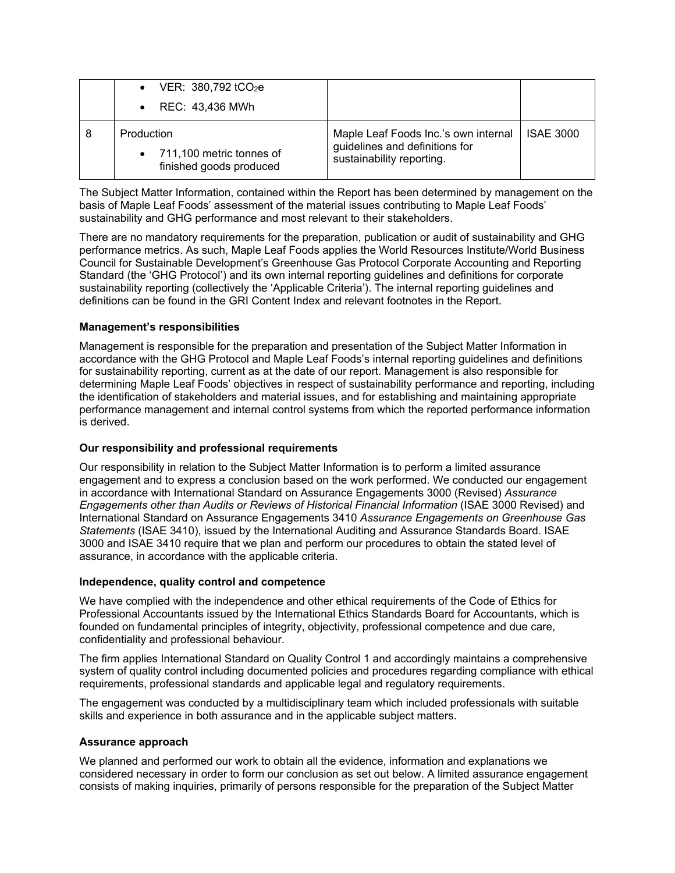| • VER: $380,792$ tCO <sub>2</sub> e                                         |                                                                                                     |                  |
|-----------------------------------------------------------------------------|-----------------------------------------------------------------------------------------------------|------------------|
| • REC: 43,436 MWh                                                           |                                                                                                     |                  |
| Production<br>$\bullet$ 711,100 metric tonnes of<br>finished goods produced | Maple Leaf Foods Inc.'s own internal<br>guidelines and definitions for<br>sustainability reporting. | <b>ISAE 3000</b> |

 The Subject Matter Information, contained within the Report has been determined by management on the basis of Maple Leaf Foods' assessment of the material issues contributing to Maple Leaf Foods' sustainability and GHG performance and most relevant to their stakeholders.

 There are no mandatory requirements for the preparation, publication or audit of sustainability and GHG performance metrics. As such, Maple Leaf Foods applies the World Resources Institute/World Business Council for Sustainable Development's Greenhouse Gas Protocol Corporate Accounting and Reporting Standard (the 'GHG Protocol') and its own internal reporting guidelines and definitions for corporate definitions can be found in the GRI Content Index and relevant footnotes in the Report. sustainability reporting (collectively the 'Applicable Criteria'). The internal reporting guidelines and

## **Management's responsibilities**

 Management is responsible for the preparation and presentation of the Subject Matter Information in accordance with the GHG Protocol and Maple Leaf Foods's internal reporting guidelines and definitions for sustainability reporting, current as at the date of our report. Management is also responsible for determining Maple Leaf Foods' objectives in respect of sustainability performance and reporting, including the identification of stakeholders and material issues, and for establishing and maintaining appropriate performance management and internal control systems from which the reported performance information is derived.

## **Our responsibility and professional requirements**

 Our responsibility in relation to the Subject Matter Information is to perform a limited assurance engagement and to express a conclusion based on the work performed. We conducted our engagement  *Engagements other than Audits or Reviews of Historical Financial Information* (ISAE 3000 Revised) and *Statements* (ISAE 3410), issued by the International Auditing and Assurance Standards Board. ISAE 3000 and ISAE 3410 require that we plan and perform our procedures to obtain the stated level of assurance, in accordance with the applicable criteria. in accordance with International Standard on Assurance Engagements 3000 (Revised) *Assurance*  International Standard on Assurance Engagements 3410 *Assurance Engagements on Greenhouse Gas* 

## **Independence, quality control and competence**

 We have complied with the independence and other ethical requirements of the Code of Ethics for Professional Accountants issued by the International Ethics Standards Board for Accountants, which is founded on fundamental principles of integrity, objectivity, professional competence and due care, confidentiality and professional behaviour.

 The firm applies International Standard on Quality Control 1 and accordingly maintains a comprehensive system of quality control including documented policies and procedures regarding compliance with ethical requirements, professional standards and applicable legal and regulatory requirements.

 The engagement was conducted by a multidisciplinary team which included professionals with suitable skills and experience in both assurance and in the applicable subject matters.

#### **Assurance approach**

 We planned and performed our work to obtain all the evidence, information and explanations we considered necessary in order to form our conclusion as set out below. A limited assurance engagement consists of making inquiries, primarily of persons responsible for the preparation of the Subject Matter